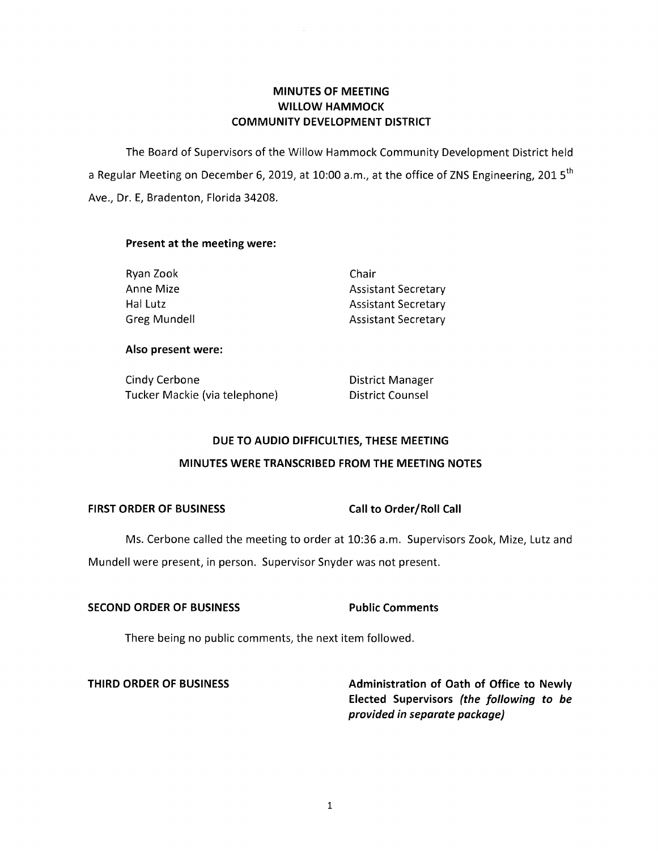# **MINUTES OF MEETING WILLOW HAMMOCK COMMUNITY DEVELOPMENT DISTRICT**

The Board of Supervisors of the Willow Hammock Community Development District held a Regular Meeting on December 6, 2019, at 10:00 a.m., at the office of ZNS Engineering, 2015<sup>th</sup> Ave., Dr. E, Bradenton, Florida 34208.

## **Present at the meeting were:**

| Ryan Zook    | Chair                      |
|--------------|----------------------------|
| Anne Mize    | <b>Assistant Secretary</b> |
| Hal Lutz     | <b>Assistant Secretary</b> |
| Greg Mundell | <b>Assistant Secretary</b> |

## **Also present were:**

Cindy Cerbone **District Manager** Tucker Mackie (via telephone) District Counsel

## **DUE TO AUDIO DIFFICULTIES, THESE MEETING**

## **MINUTES WERE TRANSCRIBED FROM THE MEETING NOTES**

## FIRST ORDER OF BUSINESS Call to Order/Roll Call

Ms. Cerbone called the meeting to order at 10:36 a.m. Supervisors Zook, Mize, Lutz and

Mundell were present, in person. Supervisor Snyder was not present.

# **SECOND ORDER OF BUSINESS Public Comments**

There being no public comments, the next item followed.

THIRD ORDER OF BUSINESS Administration of Oath of Office to Newly **Elected Supervisors** *(the following to be provided in separate package)*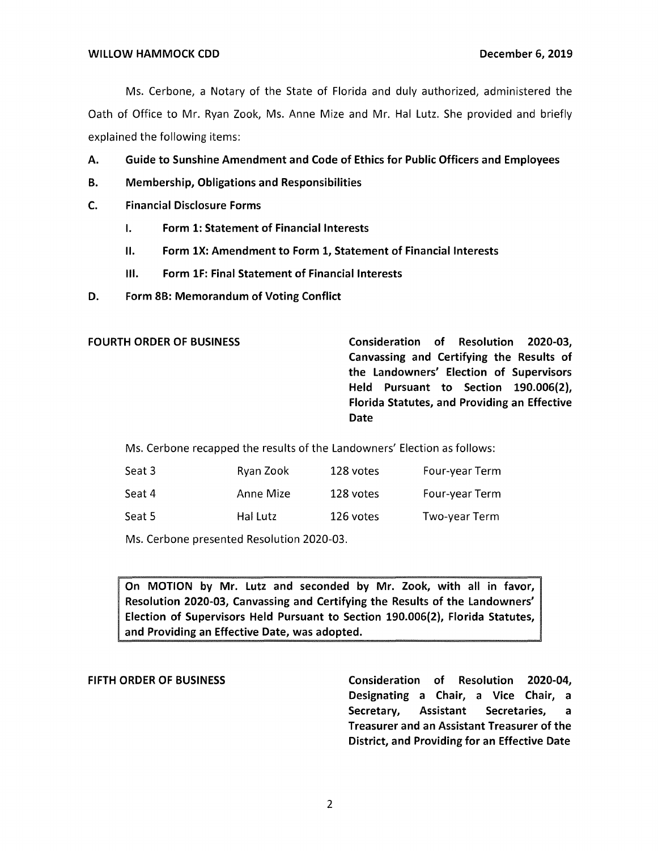Ms. Cerbone, a Notary of the State of Florida and duly authorized, administered the Oath of Office to Mr. Ryan Zook, Ms. Anne Mize and Mr. Hal Lutz. She provided and briefly explained the following items:

- **A. Guide to Sunshine Amendment and Code of Ethics for Public Officers and Employees**
- **B. Membership, Obligations and Responsibilities**
- **C. Financial Disclosure Forms** 
	- I. **Form 1: Statement of Financial Interests**
	- II. **Form lX: Amendment to Form 1, Statement of Financial Interests**
	- Ill. **Form lF: Final Statement of Financial Interests**
- **D. Form SB: Memorandum of Voting Conflict**

**FOURTH ORDER OF BUSINESS Consideration of Resolution 2020-03, Canvassing and Certifying the Results of the Landowners' Election of Supervisors Held Pursuant to Section 190.006(2), Florida Statutes, and Providing an Effective Date** 

Ms. Cerbone recapped the results of the Landowners' Election as follows:

| Seat 3 | Ryan Zook | 128 votes | Four-year Term |
|--------|-----------|-----------|----------------|
| Seat 4 | Anne Mize | 128 votes | Four-year Term |
| Seat 5 | Hal Lutz  | 126 votes | Two-year Term  |

Ms. Cerbone presented Resolution 2020-03.

**On MOTION by Mr. Lutz and seconded by Mr. Zook, with all in favor, Resolution 2020-03, Canvassing and Certifying the Results of the Landowners' Election of Supervisors Held Pursuant to Section 190.006{2), Florida Statutes, and Providing an Effective Date, was adopted.** 

**FIFTH ORDER OF BUSINESS Consideration of Resolution 2020-04, Designating a Chair, a Vice Chair, a Secretary, Assistant Secretaries, a Treasurer and an Assistant Treasurer of the District, and Providing for an Effective Date**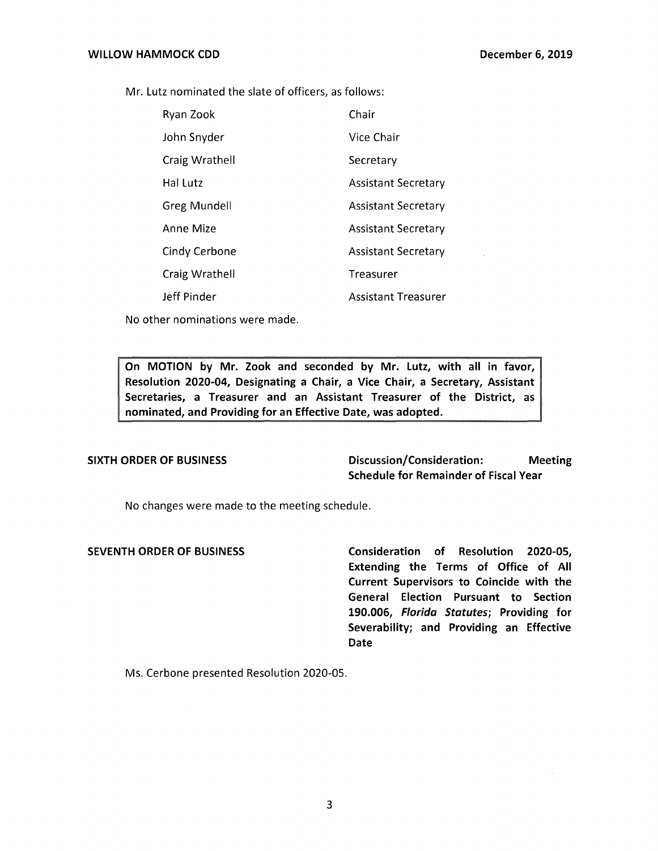Mr. Lutz nominated the slate of officers, as follows:

| Ryan Zook      | Chair                      |
|----------------|----------------------------|
| John Snyder    | Vice Chair                 |
| Craig Wrathell | Secretary                  |
| Hal Lutz       | Assistant Secretary        |
| Greg Mundell   | <b>Assistant Secretary</b> |
| Anne Mize      | <b>Assistant Secretary</b> |
| Cindy Cerbone  | <b>Assistant Secretary</b> |
| Craig Wrathell | Treasurer                  |
| Jeff Pinder    | Assistant Treasurer        |

No other nominations were made.

**On MOTION by Mr. Zook and seconded by Mr. Lutz, with all in favor, Resolution 2020-04, Designating a Chair, a Vice Chair, a Secretary, Assistant Secretaries, a Treasurer and an Assistant Treasurer of the District, as nominated, and Providing for an Effective Date, was adopted.** 

**SIXTH ORDER OF BUSINESS Discussion/Consideration: Meeting Schedule for Remainder of Fiscal Year** 

No changes were made to the meeting schedule.

**SEVENTH ORDER OF BUSINESS Consideration of Resolution 2020-05, Extending the Terms of Office of All Current Supervisors to Coincide with the General Election Pursuant to Section 190.006, Florida Statutes; Providing for Severability; and Providing an Effective Date** 

Ms. Cerbone presented Resolution 2020-05.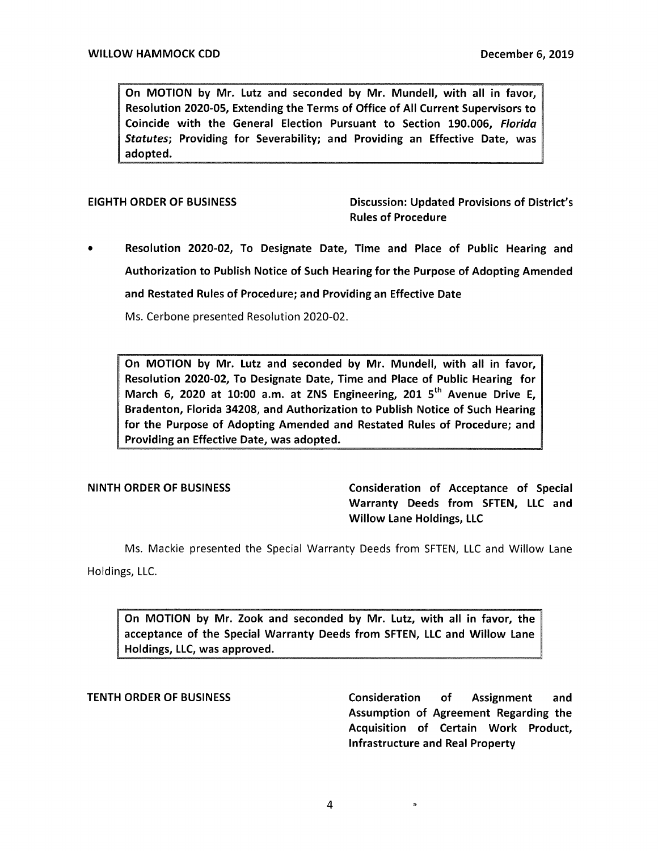On MOTION by Mr. Lutz and seconded by Mr. Mundell, with all in favor, Resolution 2020-05, Extending the Terms of Office of All Current Supervisors to Coincide with the General Election Pursuant to Section 190.006, Florida *Statutes;* Providing for Severability; and Providing an Effective Date, was adopted.

EIGHTH ORDER OF BUSINESS Discussion: Updated Provisions of District's Rules of Procedure

• Resolution 2020-02, To Designate Date, Time and Place of Public Hearing and Authorization to Publish Notice of Such Hearing for the Purpose of Adopting Amended and Restated Rules of Procedure; and Providing an Effective Date

Ms. Cerbone presented Resolution 2020-02.

On MOTION by Mr. Lutz and seconded by Mr. Mundell, with all in favor, Resolution 2020-02, To Designate Date, Time and Place of Public Hearing for March 6, 2020 at 10:00 a.m. at ZNS Engineering, 201  $5<sup>th</sup>$  Avenue Drive E. Bradenton, Florida 34208, and Authorization to Publish Notice of Such Hearing for the Purpose of Adopting Amended and Restated Rules of Procedure; and Providing an Effective Date, was adopted.

NINTH ORDER OF BUSINESS Consideration of Acceptance of Special Warranty Deeds from SFTEN, LLC and Willow Lane Holdings, LLC

Ms. Mackie presented the Special Warranty Deeds from SFTEN, LLC and Willow Lane Holdings, LLC.

On MOTION by Mr. Zook and seconded by Mr. Lutz, with all in favor, the acceptance of the Special Warranty Deeds from SFTEN, LLC and Willow Lane Holdings, LLC, was approved.

TENTH ORDER OF **BUSINESS** Consideration of Assignment and Assumption of Agreement Regarding the Acquisition of Certain Work Product, Infrastructure and Real Property

s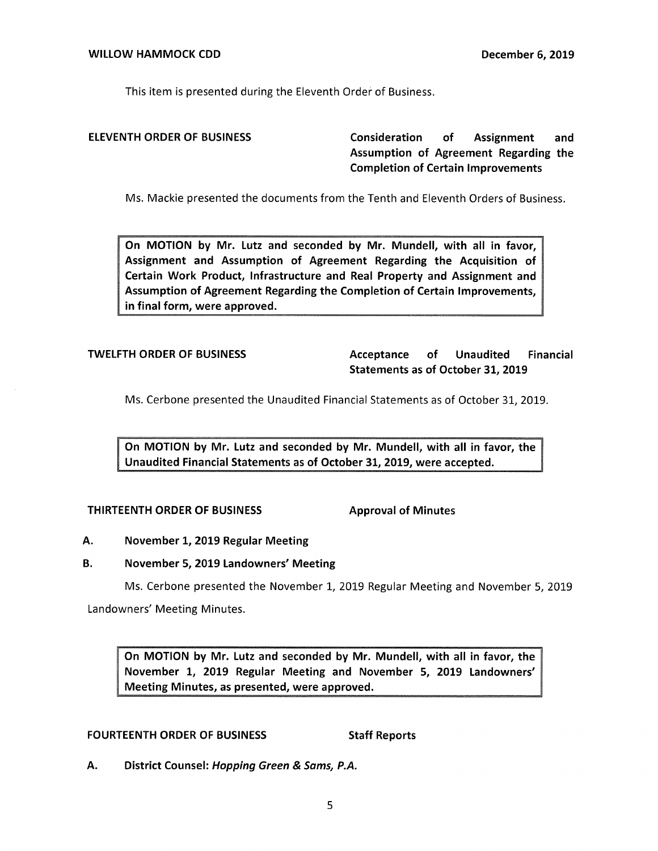This item is presented during the Eleventh Order of Business.

ELEVENTH ORDER OF BUSINESS Consideration of Assignment and Assumption of Agreement Regarding the Completion of Certain Improvements

Ms. Mackie presented the documents from the Tenth and Eleventh Orders of Business.

On MOTION by Mr. Lutz and seconded by Mr. Mundell, with all in favor, Assignment and Assumption of Agreement Regarding the Acquisition of Certain Work Product, Infrastructure and Real Property and Assignment and Assumption of Agreement Regarding the Completion of Certain Improvements, in final form, were approved.

TWELFTH ORDER OF BUSINESS THE SACCEPTANCE of Unaudited Financial Statements as of October 31, 2019

Ms. Cerbone presented the Unaudited Financial Statements as of October 31, 2019.

On MOTION by Mr. Lutz and seconded by Mr. Mundell, with all in favor, the Unaudited Financial Statements as of October 31, 2019, were accepted.

### THIRTEENTH ORDER OF BUSINESS Approval of Minutes

## A. November 1, 2019 Regular Meeting

## B. November 5, 2019 Landowners' Meeting

Ms. Cerbone presented the November 1, 2019 Regular Meeting and November 5, 2019 Landowners' Meeting Minutes.

On MOTION by Mr. Lutz and seconded by Mr. Mundell, with all in favor, the November 1, 2019 Regular Meeting and November 5, 2019 Landowners' Meeting Minutes, as presented, were approved.

### FOURTEENTH ORDER OF BUSINESS Staff Reports

A. District Counsel: Hopping Green & Sams, P.A.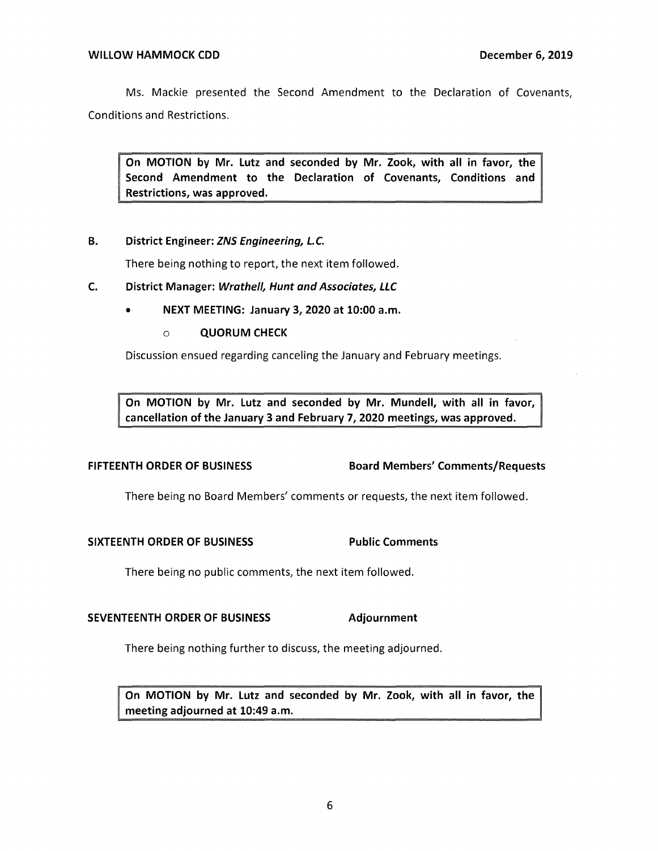Ms. Mackie presented the Second Amendment to the Declaration of Covenants, Conditions and Restrictions.

**On MOTION by Mr. Lutz and seconded by Mr. Zook, with all in favor, the Second Amendment to the Declaration of Covenants, Conditions and Restrictions, was approved.** 

## **B.** District Engineer: ZNS Engineering, L.C.

There being nothing to report, the next item followed.

### **C. District Manager: Wrathe/1, Hunt and Associates, LLC**

- **NEXT MEETING: January 3, 2020 at 10:00 a.m.** 
	- o **QUORUM CHECK**

Discussion ensued regarding canceling the January and February meetings.

**MOTION by Mr. Lutz and seconded by Mr. Mundell, with all in favor,**  cancellation of the January 3 and February 7, 2020 meetings, was approved.

**FIFTEENTH ORDER OF BUSINESS Board Members' Comments/Requests** 

There being no Board Members' comments or requests, the next item followed.

## **SIXTEENTH ORDER OF BUSINESS Public Comments**

There being no public comments, the next item followed.

## **SEVENTEENTH ORDER OF BUSINESS Adjournment**

There being nothing further to discuss, the meeting adjourned.

**On MOTION by Mr. Lutz and seconded by Mr. Zook, with all in favor, meeting adjourned at 10:49 a.m.**